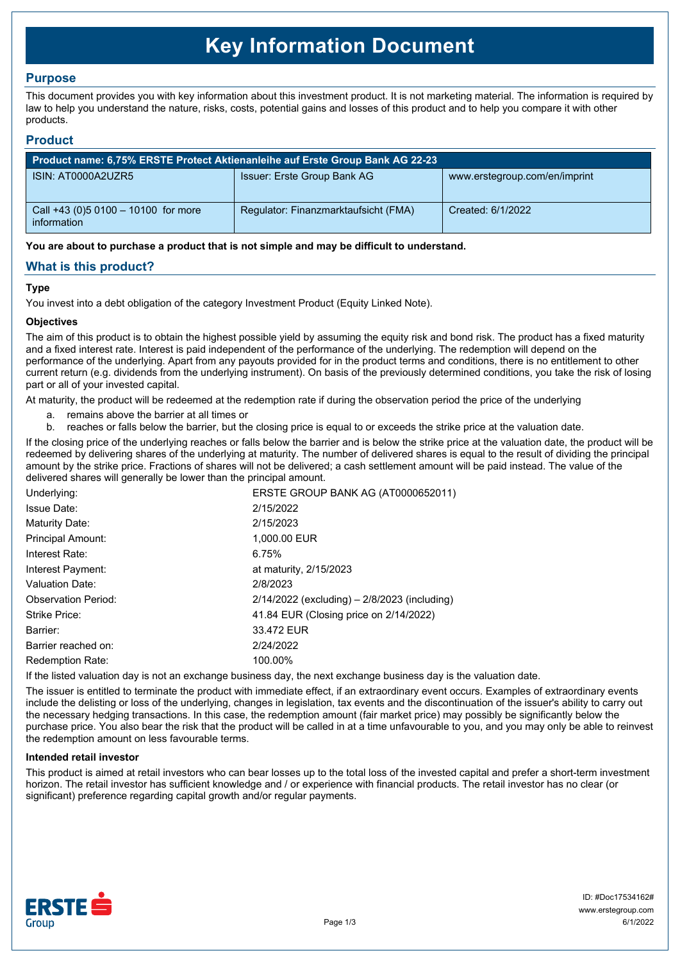# **Key Information Document**

# **Purpose**

This document provides you with key information about this investment product. It is not marketing material. The information is required by law to help you understand the nature, risks, costs, potential gains and losses of this product and to help you compare it with other products.

## **Product**

| Product name: 6,75% ERSTE Protect Aktienanleihe auf Erste Group Bank AG 22-23 |                                      |                               |  |
|-------------------------------------------------------------------------------|--------------------------------------|-------------------------------|--|
| ISIN: AT0000A2UZR5                                                            | Issuer: Erste Group Bank AG          | www.erstegroup.com/en/imprint |  |
| Call +43 (0) 5 0100 - 10100 for more<br>information                           | Regulator: Finanzmarktaufsicht (FMA) | Created: 6/1/2022             |  |

**You are about to purchase a product that is not simple and may be difficult to understand.**

# **What is this product?**

## **Type**

You invest into a debt obligation of the category Investment Product (Equity Linked Note).

## **Objectives**

The aim of this product is to obtain the highest possible yield by assuming the equity risk and bond risk. The product has a fixed maturity and a fixed interest rate. Interest is paid independent of the performance of the underlying. The redemption will depend on the performance of the underlying. Apart from any payouts provided for in the product terms and conditions, there is no entitlement to other current return (e.g. dividends from the underlying instrument). On basis of the previously determined conditions, you take the risk of losing part or all of your invested capital.

At maturity, the product will be redeemed at the redemption rate if during the observation period the price of the underlying

- a. remains above the barrier at all times or
- b. reaches or falls below the barrier, but the closing price is equal to or exceeds the strike price at the valuation date.

If the closing price of the underlying reaches or falls below the barrier and is below the strike price at the valuation date, the product will be redeemed by delivering shares of the underlying at maturity. The number of delivered shares is equal to the result of dividing the principal amount by the strike price. Fractions of shares will not be delivered; a cash settlement amount will be paid instead. The value of the delivered shares will generally be lower than the principal amount.

| Underlying:                | ERSTE GROUP BANK AG (AT0000652011)               |
|----------------------------|--------------------------------------------------|
| Issue Date:                | 2/15/2022                                        |
| Maturity Date:             | 2/15/2023                                        |
| <b>Principal Amount:</b>   | 1,000.00 EUR                                     |
| Interest Rate:             | 6.75%                                            |
| Interest Payment:          | at maturity, 2/15/2023                           |
| Valuation Date:            | 2/8/2023                                         |
| <b>Observation Period:</b> | $2/14/2022$ (excluding) – $2/8/2023$ (including) |
| Strike Price:              | 41.84 EUR (Closing price on 2/14/2022)           |
| Barrier:                   | 33.472 EUR                                       |
| Barrier reached on:        | 2/24/2022                                        |
| <b>Redemption Rate:</b>    | 100.00%                                          |

If the listed valuation day is not an exchange business day, the next exchange business day is the valuation date.

The issuer is entitled to terminate the product with immediate effect, if an extraordinary event occurs. Examples of extraordinary events include the delisting or loss of the underlying, changes in legislation, tax events and the discontinuation of the issuer's ability to carry out the necessary hedging transactions. In this case, the redemption amount (fair market price) may possibly be significantly below the purchase price. You also bear the risk that the product will be called in at a time unfavourable to you, and you may only be able to reinvest the redemption amount on less favourable terms.

#### **Intended retail investor**

This product is aimed at retail investors who can bear losses up to the total loss of the invested capital and prefer a short-term investment horizon. The retail investor has sufficient knowledge and / or experience with financial products. The retail investor has no clear (or significant) preference regarding capital growth and/or regular payments.

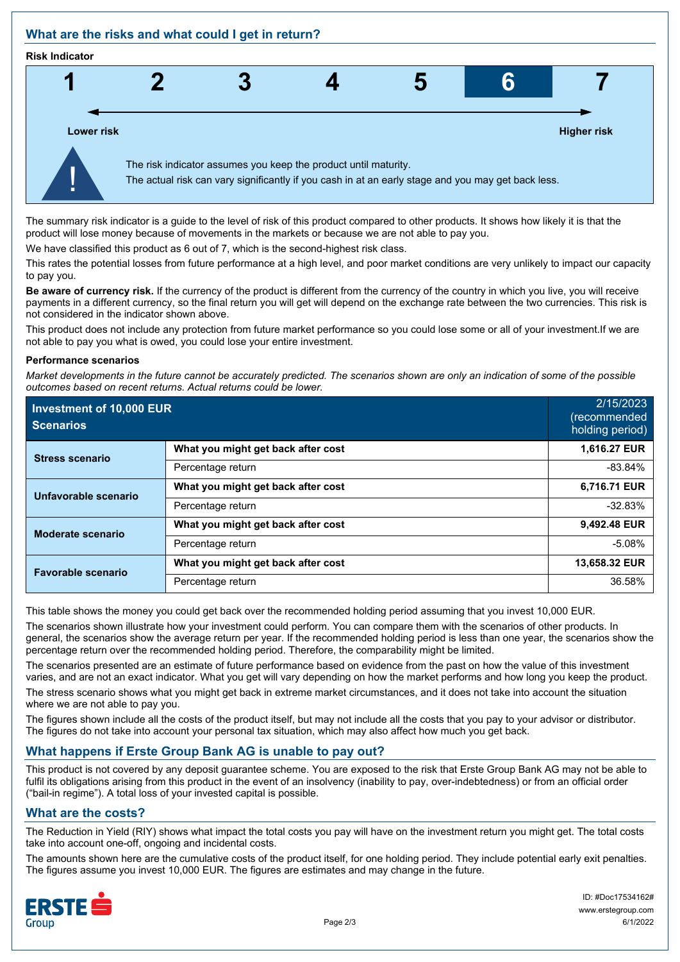# **What are the risks and what could I get in return?**

#### **Risk Indicator**



The summary risk indicator is a guide to the level of risk of this product compared to other products. It shows how likely it is that the product will lose money because of movements in the markets or because we are not able to pay you.

We have classified this product as 6 out of 7, which is the second-highest risk class.

This rates the potential losses from future performance at a high level, and poor market conditions are very unlikely to impact our capacity to pay you.

**Be aware of currency risk.** If the currency of the product is different from the currency of the country in which you live, you will receive payments in a different currency, so the final return you will get will depend on the exchange rate between the two currencies. This risk is not considered in the indicator shown above.

This product does not include any protection from future market performance so you could lose some or all of your investment.If we are not able to pay you what is owed, you could lose your entire investment.

#### **Performance scenarios**

*Market developments in the future cannot be accurately predicted. The scenarios shown are only an indication of some of the possible outcomes based on recent returns. Actual returns could be lower.*

| Investment of 10,000 EUR<br><b>Scenarios</b> |                                    | 2/15/2023<br>(recommended<br>holding period) |
|----------------------------------------------|------------------------------------|----------------------------------------------|
| <b>Stress scenario</b>                       | What you might get back after cost | 1,616.27 EUR                                 |
|                                              | Percentage return                  | $-83.84%$                                    |
| Unfavorable scenario                         | What you might get back after cost | 6,716.71 EUR                                 |
|                                              | Percentage return                  | $-32.83%$                                    |
| <b>Moderate scenario</b>                     | What you might get back after cost | 9,492.48 EUR                                 |
|                                              | Percentage return                  | $-5.08%$                                     |
| <b>Favorable scenario</b>                    | What you might get back after cost | 13,658.32 EUR                                |
|                                              | Percentage return                  | 36.58%                                       |

This table shows the money you could get back over the recommended holding period assuming that you invest 10,000 EUR.

The scenarios shown illustrate how your investment could perform. You can compare them with the scenarios of other products. In general, the scenarios show the average return per year. If the recommended holding period is less than one year, the scenarios show the percentage return over the recommended holding period. Therefore, the comparability might be limited.

The scenarios presented are an estimate of future performance based on evidence from the past on how the value of this investment varies, and are not an exact indicator. What you get will vary depending on how the market performs and how long you keep the product. The stress scenario shows what you might get back in extreme market circumstances, and it does not take into account the situation where we are not able to pay you.

The figures shown include all the costs of the product itself, but may not include all the costs that you pay to your advisor or distributor. The figures do not take into account your personal tax situation, which may also affect how much you get back.

# **What happens if Erste Group Bank AG is unable to pay out?**

This product is not covered by any deposit guarantee scheme. You are exposed to the risk that Erste Group Bank AG may not be able to fulfil its obligations arising from this product in the event of an insolvency (inability to pay, over-indebtedness) or from an official order ("bail-in regime"). A total loss of your invested capital is possible.

## **What are the costs?**

The Reduction in Yield (RIY) shows what impact the total costs you pay will have on the investment return you might get. The total costs take into account one-off, ongoing and incidental costs.

The amounts shown here are the cumulative costs of the product itself, for one holding period. They include potential early exit penalties. The figures assume you invest 10,000 EUR. The figures are estimates and may change in the future.